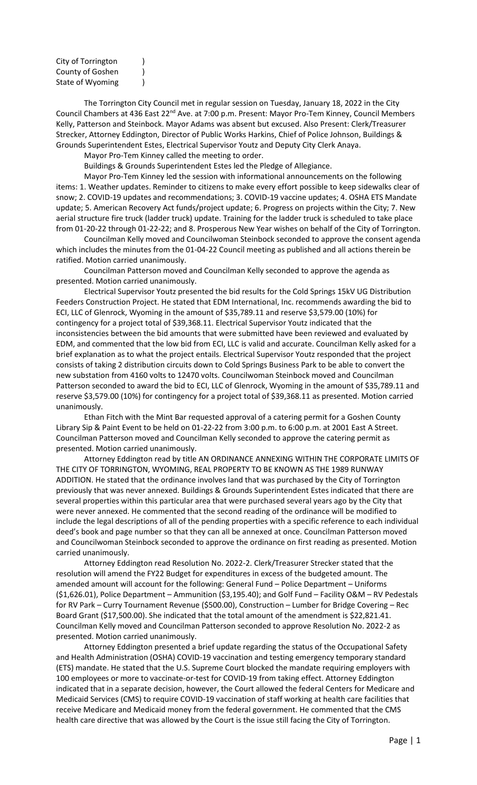| City of Torrington                   |  |
|--------------------------------------|--|
| County of Goshen<br>State of Wyoming |  |
|                                      |  |

The Torrington City Council met in regular session on Tuesday, January 18, 2022 in the City Council Chambers at 436 East 22<sup>nd</sup> Ave. at 7:00 p.m. Present: Mayor Pro-Tem Kinney, Council Members Kelly, Patterson and Steinbock. Mayor Adams was absent but excused. Also Present: Clerk/Treasurer Strecker, Attorney Eddington, Director of Public Works Harkins, Chief of Police Johnson, Buildings & Grounds Superintendent Estes, Electrical Supervisor Youtz and Deputy City Clerk Anaya.

Mayor Pro-Tem Kinney called the meeting to order.

Buildings & Grounds Superintendent Estes led the Pledge of Allegiance.

Mayor Pro-Tem Kinney led the session with informational announcements on the following items: 1. Weather updates. Reminder to citizens to make every effort possible to keep sidewalks clear of snow; 2. COVID-19 updates and recommendations; 3. COVID-19 vaccine updates; 4. OSHA ETS Mandate update; 5. American Recovery Act funds/project update; 6. Progress on projects within the City; 7. New aerial structure fire truck (ladder truck) update. Training for the ladder truck is scheduled to take place from 01-20-22 through 01-22-22; and 8. Prosperous New Year wishes on behalf of the City of Torrington.

Councilman Kelly moved and Councilwoman Steinbock seconded to approve the consent agenda which includes the minutes from the 01-04-22 Council meeting as published and all actions therein be ratified. Motion carried unanimously.

Councilman Patterson moved and Councilman Kelly seconded to approve the agenda as presented. Motion carried unanimously.

Electrical Supervisor Youtz presented the bid results for the Cold Springs 15kV UG Distribution Feeders Construction Project. He stated that EDM International, Inc. recommends awarding the bid to ECI, LLC of Glenrock, Wyoming in the amount of \$35,789.11 and reserve \$3,579.00 (10%) for contingency for a project total of \$39,368.11. Electrical Supervisor Youtz indicated that the inconsistencies between the bid amounts that were submitted have been reviewed and evaluated by EDM, and commented that the low bid from ECI, LLC is valid and accurate. Councilman Kelly asked for a brief explanation as to what the project entails. Electrical Supervisor Youtz responded that the project consists of taking 2 distribution circuits down to Cold Springs Business Park to be able to convert the new substation from 4160 volts to 12470 volts. Councilwoman Steinbock moved and Councilman Patterson seconded to award the bid to ECI, LLC of Glenrock, Wyoming in the amount of \$35,789.11 and reserve \$3,579.00 (10%) for contingency for a project total of \$39,368.11 as presented. Motion carried unanimously.

Ethan Fitch with the Mint Bar requested approval of a catering permit for a Goshen County Library Sip & Paint Event to be held on 01-22-22 from 3:00 p.m. to 6:00 p.m. at 2001 East A Street. Councilman Patterson moved and Councilman Kelly seconded to approve the catering permit as presented. Motion carried unanimously.

Attorney Eddington read by title AN ORDINANCE ANNEXING WITHIN THE CORPORATE LIMITS OF THE CITY OF TORRINGTON, WYOMING, REAL PROPERTY TO BE KNOWN AS THE 1989 RUNWAY ADDITION. He stated that the ordinance involves land that was purchased by the City of Torrington previously that was never annexed. Buildings & Grounds Superintendent Estes indicated that there are several properties within this particular area that were purchased several years ago by the City that were never annexed. He commented that the second reading of the ordinance will be modified to include the legal descriptions of all of the pending properties with a specific reference to each individual deed's book and page number so that they can all be annexed at once. Councilman Patterson moved and Councilwoman Steinbock seconded to approve the ordinance on first reading as presented. Motion carried unanimously.

Attorney Eddington read Resolution No. 2022-2. Clerk/Treasurer Strecker stated that the resolution will amend the FY22 Budget for expenditures in excess of the budgeted amount. The amended amount will account for the following: General Fund – Police Department – Uniforms (\$1,626.01), Police Department – Ammunition (\$3,195.40); and Golf Fund – Facility O&M – RV Pedestals for RV Park – Curry Tournament Revenue (\$500.00), Construction – Lumber for Bridge Covering – Rec Board Grant (\$17,500.00). She indicated that the total amount of the amendment is \$22,821.41. Councilman Kelly moved and Councilman Patterson seconded to approve Resolution No. 2022-2 as presented. Motion carried unanimously.

Attorney Eddington presented a brief update regarding the status of the Occupational Safety and Health Administration (OSHA) COVID-19 vaccination and testing emergency temporary standard (ETS) mandate. He stated that the U.S. Supreme Court blocked the mandate requiring employers with 100 employees or more to vaccinate-or-test for COVID-19 from taking effect. Attorney Eddington indicated that in a separate decision, however, the Court allowed the federal Centers for Medicare and Medicaid Services (CMS) to require COVID-19 vaccination of staff working at health care facilities that receive Medicare and Medicaid money from the federal government. He commented that the CMS health care directive that was allowed by the Court is the issue still facing the City of Torrington.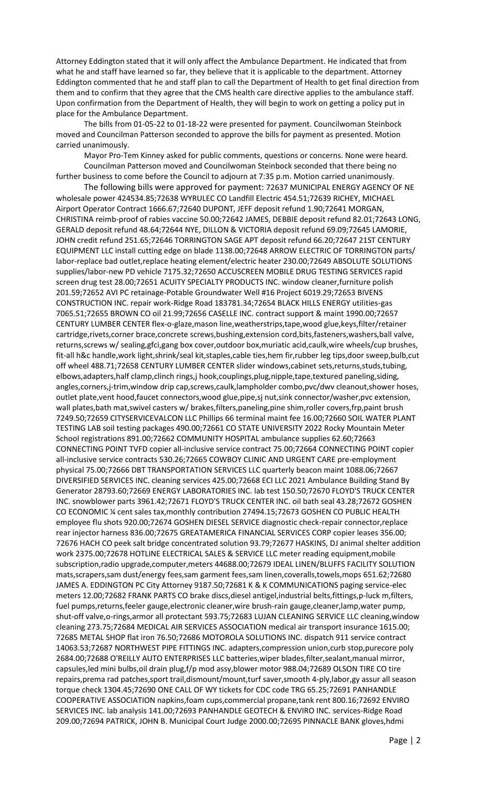Attorney Eddington stated that it will only affect the Ambulance Department. He indicated that from what he and staff have learned so far, they believe that it is applicable to the department. Attorney Eddington commented that he and staff plan to call the Department of Health to get final direction from them and to confirm that they agree that the CMS health care directive applies to the ambulance staff. Upon confirmation from the Department of Health, they will begin to work on getting a policy put in place for the Ambulance Department.

The bills from 01-05-22 to 01-18-22 were presented for payment. Councilwoman Steinbock moved and Councilman Patterson seconded to approve the bills for payment as presented. Motion carried unanimously.

Mayor Pro-Tem Kinney asked for public comments, questions or concerns. None were heard. Councilman Patterson moved and Councilwoman Steinbock seconded that there being no further business to come before the Council to adjourn at 7:35 p.m. Motion carried unanimously.

The following bills were approved for payment: 72637 MUNICIPAL ENERGY AGENCY OF NE wholesale power 424534.85;72638 WYRULEC CO Landfill Electric 454.51;72639 RICHEY, MICHAEL Airport Operator Contract 1666.67;72640 DUPONT, JEFF deposit refund 1.90;72641 MORGAN, CHRISTINA reimb-proof of rabies vaccine 50.00;72642 JAMES, DEBBIE deposit refund 82.01;72643 LONG, GERALD deposit refund 48.64;72644 NYE, DILLON & VICTORIA deposit refund 69.09;72645 LAMORIE, JOHN credit refund 251.65;72646 TORRINGTON SAGE APT deposit refund 66.20;72647 21ST CENTURY EQUIPMENT LLC install cutting edge on blade 1138.00;72648 ARROW ELECTRIC OF TORRINGTON parts/ labor-replace bad outlet,replace heating element/electric heater 230.00;72649 ABSOLUTE SOLUTIONS supplies/labor-new PD vehicle 7175.32;72650 ACCUSCREEN MOBILE DRUG TESTING SERVICES rapid screen drug test 28.00;72651 ACUITY SPECIALTY PRODUCTS INC. window cleaner,furniture polish 201.59;72652 AVI PC retainage-Potable Groundwater Well #16 Project 6019.29;72653 BIVENS CONSTRUCTION INC. repair work-Ridge Road 183781.34;72654 BLACK HILLS ENERGY utilities-gas 7065.51;72655 BROWN CO oil 21.99;72656 CASELLE INC. contract support & maint 1990.00;72657 CENTURY LUMBER CENTER flex-o-glaze,mason line,weatherstrips,tape,wood glue,keys,filter/retainer cartridge,rivets,corner brace,concrete screws,bushing,extension cord,bits,fasteners,washers,ball valve, returns,screws w/ sealing,gfci,gang box cover,outdoor box,muriatic acid,caulk,wire wheels/cup brushes, fit-all h&c handle,work light,shrink/seal kit,staples,cable ties,hem fir,rubber leg tips,door sweep,bulb,cut off wheel 488.71;72658 CENTURY LUMBER CENTER slider windows,cabinet sets,returns,studs,tubing, elbows,adapters,half clamp,clinch rings,j hook,couplings,plug,nipple,tape,textured paneling,siding, angles,corners,j-trim,window drip cap,screws,caulk,lampholder combo,pvc/dwv cleanout,shower hoses, outlet plate,vent hood,faucet connectors,wood glue,pipe,sj nut,sink connector/washer,pvc extension, wall plates, bath mat, swivel casters w/ brakes, filters, paneling, pine shim, roller covers, frp, paint brush 7249.50;72659 CITYSERVICEVALCON LLC Phillips 66 terminal maint fee 16.00;72660 SOIL WATER PLANT TESTING LAB soil testing packages 490.00;72661 CO STATE UNIVERSITY 2022 Rocky Mountain Meter School registrations 891.00;72662 COMMUNITY HOSPITAL ambulance supplies 62.60;72663 CONNECTING POINT TVFD copier all-inclusive service contract 75.00;72664 CONNECTING POINT copier all-inclusive service contracts 530.26;72665 COWBOY CLINIC AND URGENT CARE pre-employment physical 75.00;72666 DBT TRANSPORTATION SERVICES LLC quarterly beacon maint 1088.06;72667 DIVERSIFIED SERVICES INC. cleaning services 425.00;72668 ECI LLC 2021 Ambulance Building Stand By Generator 28793.60;72669 ENERGY LABORATORIES INC. lab test 150.50;72670 FLOYD'S TRUCK CENTER INC. snowblower parts 3961.42;72671 FLOYD'S TRUCK CENTER INC. oil bath seal 43.28;72672 GOSHEN CO ECONOMIC ¼ cent sales tax,monthly contribution 27494.15;72673 GOSHEN CO PUBLIC HEALTH employee flu shots 920.00;72674 GOSHEN DIESEL SERVICE diagnostic check-repair connector,replace rear injector harness 836.00;72675 GREATAMERICA FINANCIAL SERVICES CORP copier leases 356.00; 72676 HACH CO peek salt bridge concentrated solution 93.79;72677 HASKINS, DJ animal shelter addition work 2375.00;72678 HOTLINE ELECTRICAL SALES & SERVICE LLC meter reading equipment,mobile subscription,radio upgrade,computer,meters 44688.00;72679 IDEAL LINEN/BLUFFS FACILITY SOLUTION mats,scrapers,sam dust/energy fees,sam garment fees,sam linen,coveralls,towels,mops 651.62;72680 JAMES A. EDDINGTON PC City Attorney 9187.50;72681 K & K COMMUNICATIONS paging service-elec meters 12.00;72682 FRANK PARTS CO brake discs,diesel antigel,industrial belts,fittings,p-luck m,filters, fuel pumps,returns,feeler gauge,electronic cleaner,wire brush-rain gauge,cleaner,lamp,water pump, shut-off valve,o-rings,armor all protectant 593.75;72683 LUJAN CLEANING SERVICE LLC cleaning,window cleaning 273.75;72684 MEDICAL AIR SERVICES ASSOCIATION medical air transport insurance 1615.00; 72685 METAL SHOP flat iron 76.50;72686 MOTOROLA SOLUTIONS INC. dispatch 911 service contract 14063.53;72687 NORTHWEST PIPE FITTINGS INC. adapters,compression union,curb stop,purecore poly 2684.00;72688 O'REILLY AUTO ENTERPRISES LLC batteries,wiper blades,filter,sealant,manual mirror, capsules,led mini bulbs,oil drain plug,f/p mod assy,blower motor 988.04;72689 OLSON TIRE CO tire repairs,prema rad patches,sport trail,dismount/mount,turf saver,smooth 4-ply,labor,gy assur all season torque check 1304.45;72690 ONE CALL OF WY tickets for CDC code TRG 65.25;72691 PANHANDLE COOPERATIVE ASSOCIATION napkins,foam cups,commercial propane,tank rent 800.16;72692 ENVIRO SERVICES INC. lab analysis 141.00;72693 PANHANDLE GEOTECH & ENVIRO INC. services-Ridge Road 209.00;72694 PATRICK, JOHN B. Municipal Court Judge 2000.00;72695 PINNACLE BANK gloves,hdmi